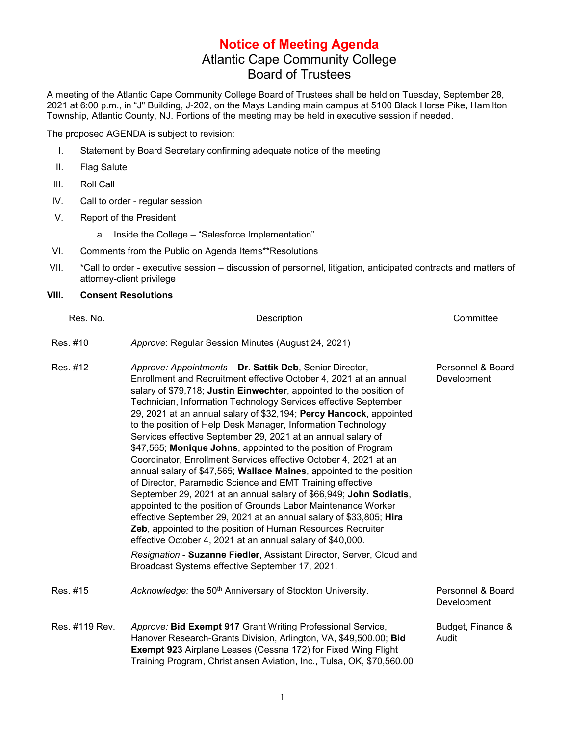## **Notice of Meeting Agenda** Atlantic Cape Community College Board of Trustees

A meeting of the Atlantic Cape Community College Board of Trustees shall be held on Tuesday, September 28, 2021 at 6:00 p.m., in "J" Building, J-202, on the Mays Landing main campus at 5100 Black Horse Pike, Hamilton Township, Atlantic County, NJ. Portions of the meeting may be held in executive session if needed.

The proposed AGENDA is subject to revision:

- I. Statement by Board Secretary confirming adequate notice of the meeting
- II. Flag Salute
- III. Roll Call
- IV. Call to order regular session
- V. Report of the President
	- a. Inside the College "Salesforce Implementation"
- VI. Comments from the Public on Agenda Items\*\*Resolutions
- VII. \*Call to order executive session discussion of personnel, litigation, anticipated contracts and matters of attorney-client privilege

## **VIII. Consent Resolutions**

| Res. No.       | Description                                                                                                                                                                                                                                                                                                                                                                                                                                                                                                                                                                                                                                                                                                                                                                                                                                                                                                                                                                                                                                                                                                                                                                                                                  | Committee                        |
|----------------|------------------------------------------------------------------------------------------------------------------------------------------------------------------------------------------------------------------------------------------------------------------------------------------------------------------------------------------------------------------------------------------------------------------------------------------------------------------------------------------------------------------------------------------------------------------------------------------------------------------------------------------------------------------------------------------------------------------------------------------------------------------------------------------------------------------------------------------------------------------------------------------------------------------------------------------------------------------------------------------------------------------------------------------------------------------------------------------------------------------------------------------------------------------------------------------------------------------------------|----------------------------------|
| Res. #10       | Approve: Regular Session Minutes (August 24, 2021)                                                                                                                                                                                                                                                                                                                                                                                                                                                                                                                                                                                                                                                                                                                                                                                                                                                                                                                                                                                                                                                                                                                                                                           |                                  |
| Res. #12       | Approve: Appointments - Dr. Sattik Deb, Senior Director,<br>Enrollment and Recruitment effective October 4, 2021 at an annual<br>salary of \$79,718; Justin Einwechter, appointed to the position of<br>Technician, Information Technology Services effective September<br>29, 2021 at an annual salary of \$32,194; Percy Hancock, appointed<br>to the position of Help Desk Manager, Information Technology<br>Services effective September 29, 2021 at an annual salary of<br>\$47,565; Monique Johns, appointed to the position of Program<br>Coordinator, Enrollment Services effective October 4, 2021 at an<br>annual salary of \$47,565; Wallace Maines, appointed to the position<br>of Director, Paramedic Science and EMT Training effective<br>September 29, 2021 at an annual salary of \$66,949; John Sodiatis,<br>appointed to the position of Grounds Labor Maintenance Worker<br>effective September 29, 2021 at an annual salary of \$33,805; Hira<br>Zeb, appointed to the position of Human Resources Recruiter<br>effective October 4, 2021 at an annual salary of \$40,000.<br>Resignation - Suzanne Fiedler, Assistant Director, Server, Cloud and<br>Broadcast Systems effective September 17, 2021. | Personnel & Board<br>Development |
| Res. #15       | Acknowledge: the 50 <sup>th</sup> Anniversary of Stockton University.                                                                                                                                                                                                                                                                                                                                                                                                                                                                                                                                                                                                                                                                                                                                                                                                                                                                                                                                                                                                                                                                                                                                                        | Personnel & Board<br>Development |
| Res. #119 Rev. | Approve: Bid Exempt 917 Grant Writing Professional Service,<br>Hanover Research-Grants Division, Arlington, VA, \$49,500.00; Bid<br><b>Exempt 923 Airplane Leases (Cessna 172) for Fixed Wing Flight</b><br>Training Program, Christiansen Aviation, Inc., Tulsa, OK, \$70,560.00                                                                                                                                                                                                                                                                                                                                                                                                                                                                                                                                                                                                                                                                                                                                                                                                                                                                                                                                            | Budget, Finance &<br>Audit       |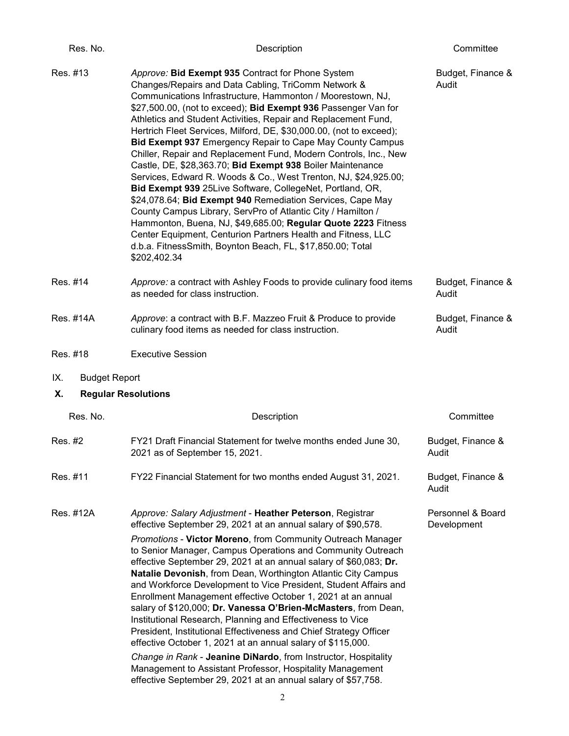| Res. No.                    | Description                                                                                                                                                                                                                                                                                                                                                                                                                                                                                                                                                                                                                                                                                                                                                                                                                                                                                                                                                                                                                                                   | Committee                        |
|-----------------------------|---------------------------------------------------------------------------------------------------------------------------------------------------------------------------------------------------------------------------------------------------------------------------------------------------------------------------------------------------------------------------------------------------------------------------------------------------------------------------------------------------------------------------------------------------------------------------------------------------------------------------------------------------------------------------------------------------------------------------------------------------------------------------------------------------------------------------------------------------------------------------------------------------------------------------------------------------------------------------------------------------------------------------------------------------------------|----------------------------------|
| Res. #13                    | Approve: Bid Exempt 935 Contract for Phone System<br>Changes/Repairs and Data Cabling, TriComm Network &<br>Communications Infrastructure, Hammonton / Moorestown, NJ,<br>\$27,500.00, (not to exceed); Bid Exempt 936 Passenger Van for<br>Athletics and Student Activities, Repair and Replacement Fund,<br>Hertrich Fleet Services, Milford, DE, \$30,000.00, (not to exceed);<br>Bid Exempt 937 Emergency Repair to Cape May County Campus<br>Chiller, Repair and Replacement Fund, Modern Controls, Inc., New<br>Castle, DE, \$28,363.70; Bid Exempt 938 Boiler Maintenance<br>Services, Edward R. Woods & Co., West Trenton, NJ, \$24,925.00;<br>Bid Exempt 939 25Live Software, CollegeNet, Portland, OR,<br>\$24,078.64; Bid Exempt 940 Remediation Services, Cape May<br>County Campus Library, ServPro of Atlantic City / Hamilton /<br>Hammonton, Buena, NJ, \$49,685.00; Regular Quote 2223 Fitness<br>Center Equipment, Centurion Partners Health and Fitness, LLC<br>d.b.a. FitnessSmith, Boynton Beach, FL, \$17,850.00; Total<br>\$202,402.34 | Budget, Finance &<br>Audit       |
| Res. #14                    | Approve: a contract with Ashley Foods to provide culinary food items<br>as needed for class instruction.                                                                                                                                                                                                                                                                                                                                                                                                                                                                                                                                                                                                                                                                                                                                                                                                                                                                                                                                                      | Budget, Finance &<br>Audit       |
| Res. #14A                   | Approve: a contract with B.F. Mazzeo Fruit & Produce to provide<br>culinary food items as needed for class instruction.                                                                                                                                                                                                                                                                                                                                                                                                                                                                                                                                                                                                                                                                                                                                                                                                                                                                                                                                       | Budget, Finance &<br>Audit       |
| Res. #18                    | <b>Executive Session</b>                                                                                                                                                                                                                                                                                                                                                                                                                                                                                                                                                                                                                                                                                                                                                                                                                                                                                                                                                                                                                                      |                                  |
| IX.<br><b>Budget Report</b> |                                                                                                                                                                                                                                                                                                                                                                                                                                                                                                                                                                                                                                                                                                                                                                                                                                                                                                                                                                                                                                                               |                                  |
| Х.                          | <b>Regular Resolutions</b>                                                                                                                                                                                                                                                                                                                                                                                                                                                                                                                                                                                                                                                                                                                                                                                                                                                                                                                                                                                                                                    |                                  |
| Res. No.                    | Description                                                                                                                                                                                                                                                                                                                                                                                                                                                                                                                                                                                                                                                                                                                                                                                                                                                                                                                                                                                                                                                   | Committee                        |
| Res. #2                     | FY21 Draft Financial Statement for twelve months ended June 30,<br>2021 as of September 15, 2021.                                                                                                                                                                                                                                                                                                                                                                                                                                                                                                                                                                                                                                                                                                                                                                                                                                                                                                                                                             | Budget, Finance &<br>Audit       |
| Res. #11                    | FY22 Financial Statement for two months ended August 31, 2021.                                                                                                                                                                                                                                                                                                                                                                                                                                                                                                                                                                                                                                                                                                                                                                                                                                                                                                                                                                                                | Budget, Finance &<br>Audit       |
| Res. #12A                   | Approve: Salary Adjustment - Heather Peterson, Registrar<br>effective September 29, 2021 at an annual salary of \$90,578.                                                                                                                                                                                                                                                                                                                                                                                                                                                                                                                                                                                                                                                                                                                                                                                                                                                                                                                                     | Personnel & Board<br>Development |
|                             | Promotions - Victor Moreno, from Community Outreach Manager<br>to Senior Manager, Campus Operations and Community Outreach<br>effective September 29, 2021 at an annual salary of \$60,083; Dr.<br>Natalie Devonish, from Dean, Worthington Atlantic City Campus<br>and Workforce Development to Vice President, Student Affairs and<br>Enrollment Management effective October 1, 2021 at an annual<br>salary of \$120,000; Dr. Vanessa O'Brien-McMasters, from Dean,<br>Institutional Research, Planning and Effectiveness to Vice<br>President, Institutional Effectiveness and Chief Strategy Officer<br>effective October 1, 2021 at an annual salary of \$115,000.<br>Change in Rank - Jeanine DiNardo, from Instructor, Hospitality<br>Management to Assistant Professor, Hospitality Management<br>effective September 29, 2021 at an annual salary of \$57,758.                                                                                                                                                                                      |                                  |